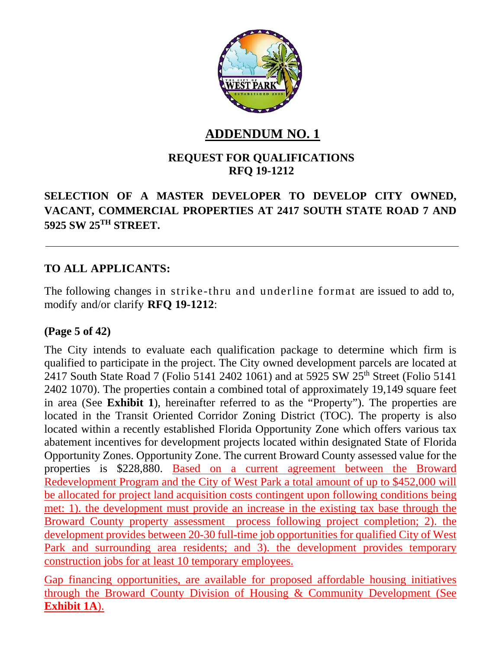

## **ADDENDUM NO. 1**

#### **REQUEST FOR QUALIFICATIONS RFQ 19-1212**

### **SELECTION OF A MASTER DEVELOPER TO DEVELOP CITY OWNED, VACANT, COMMERCIAL PROPERTIES AT 2417 SOUTH STATE ROAD 7 AND 5925 SW 25TH STREET.**

#### **TO ALL APPLICANTS:**

The following changes in strike-thru and underline format are issued to add to, modify and/or clarify **RFQ 19-1212**:

#### **(Page 5 of 42)**

The City intends to evaluate each qualification package to determine which firm is qualified to participate in the project. The City owned development parcels are located at 2417 South State Road 7 (Folio 5141 2402 1061) and at 5925 SW 25<sup>th</sup> Street (Folio 5141) 2402 1070). The properties contain a combined total of approximately 19,149 square feet in area (See **Exhibit 1**), hereinafter referred to as the "Property"). The properties are located in the Transit Oriented Corridor Zoning District (TOC). The property is also located within a recently established Florida Opportunity Zone which offers various tax abatement incentives for development projects located within designated State of Florida Opportunity Zones. Opportunity Zone. The current Broward County assessed value for the properties is \$228,880. Based on a current agreement between the Broward Redevelopment Program and the City of West Park a total amount of up to \$452,000 will be allocated for project land acquisition costs contingent upon following conditions being met: 1). the development must provide an increase in the existing tax base through the Broward County property assessment process following project completion; 2). the development provides between 20-30 full-time job opportunities for qualified City of West Park and surrounding area residents; and 3). the development provides temporary construction jobs for at least 10 temporary employees.

Gap financing opportunities, are available for proposed affordable housing initiatives through the Broward County Division of Housing & Community Development (See **Exhibit 1A**).